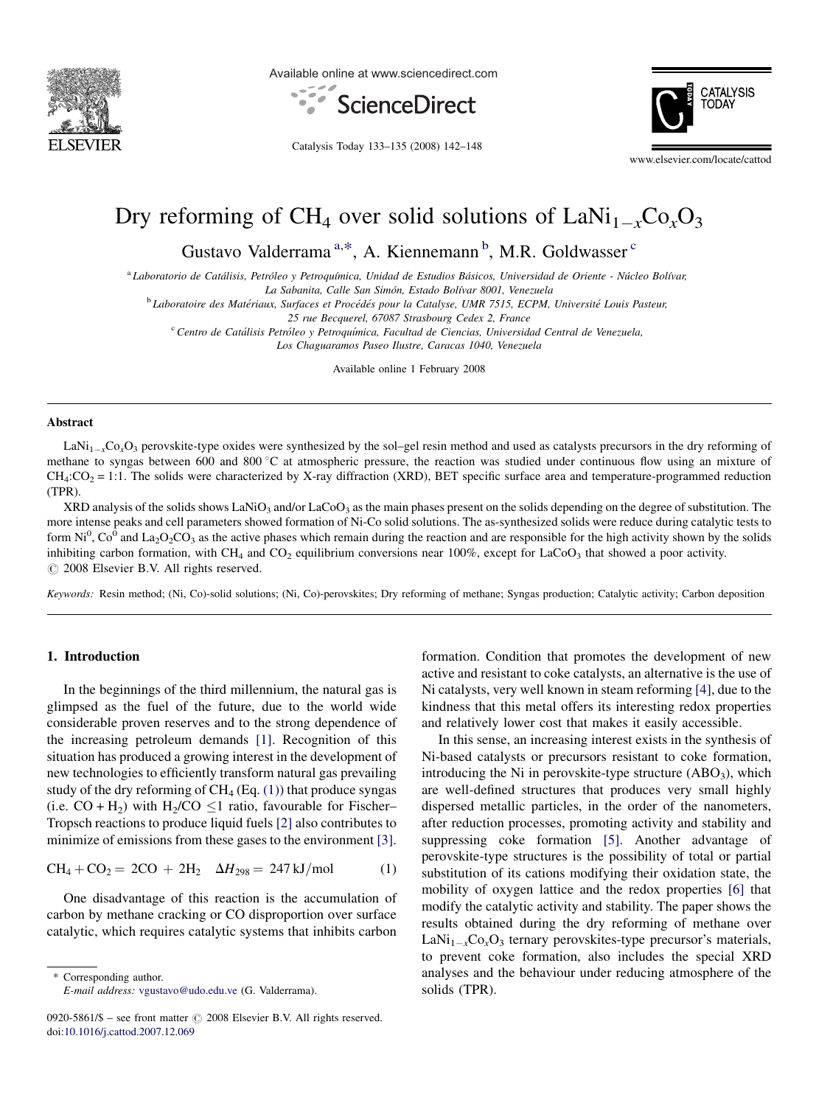<span id="page-0-0"></span>

Available online at www.sciencedirect.com



Catalysis Today 133–135 (2008) 142–148



# Dry reforming of CH<sub>4</sub> over solid solutions of  $\text{LANi}_{1-x}\text{Co}_x\text{O}_3$

Gustavo Valderrama<sup>a,\*</sup>, A. Kiennemann<sup>b</sup>, M.R. Goldwasser<sup>c</sup>

<sup>a</sup> Laboratorio de Catálisis, Petróleo y Petroquímica, Unidad de Estudios Básicos, Universidad de Oriente - Núcleo Bolívar,

La Sabanita, Calle San Simón, Estado Bolívar 8001, Venezuela

<sup>b</sup> Laboratoire des Matériaux, Surfaces et Procédés pour la Catalyse, UMR 7515, ECPM, Université Louis Pasteur,

25 rue Becquerel, 67087 Strasbourg Cedex 2, France

<sup>c</sup> Centro de Catálisis Petróleo y Petroquímica, Facultad de Ciencias, Universidad Central de Venezuela,

Los Chaguaramos Paseo Ilustre, Caracas 1040, Venezuela

Available online 1 February 2008

#### **A** hstract

 $\text{LaNi}_{1-x}\text{Co}_x\text{O}_3$  perovskite-type oxides were synthesized by the sol–gel resin method and used as catalysts precursors in the dry reforming of methane to syngas between 600 and 800 °C at atmospheric pressure, the reaction was studied under continuous flow using an mixture of  $CH_4$ : $CO_2$  = 1:1. The solids were characterized by X-ray diffraction (XRD), BET specific surface area and temperature-programmed reduction (TPR).

XRD analysis of the solids shows LaNiO<sub>3</sub> and/or LaCoO<sub>3</sub> as the main phases present on the solids depending on the degree of substitution. The more intense peaks and cell parameters showed formation of Ni-Co solid solutions. The as-synthesized solids were reduce during catalytic tests to form Ni<sup>0</sup>, Co<sup>0</sup> and La<sub>2</sub>O<sub>2</sub>CO<sub>3</sub> as the active phases which remain during the reaction and are responsible for the high activity shown by the solids inhibiting carbon formation, with CH<sub>4</sub> and CO<sub>2</sub> equilibrium conversions near 100%, except for LaCoO<sub>3</sub> that showed a poor activity.  $\odot$  2008 Elsevier B.V. All rights reserved.

Keywords: Resin method; (Ni, Co)-solid solutions; (Ni, Co)-perovskites; Dry reforming of methane; Syngas production; Catalytic activity; Carbon deposition

# 1. Introduction

In the beginnings of the third millennium, the natural gas is glimpsed as the fuel of the future, due to the world wide considerable proven reserves and to the strong dependence of the increasing petroleum demands [\[1\]](#page-6-0). Recognition of this situation has produced a growing interest in the development of new technologies to efficiently transform natural gas prevailing study of the dry reforming of  $CH_4$  (Eq. (1)) that produce syngas (i.e.  $CO + H_2$ ) with H<sub>2</sub>/CO  $\leq$ 1 ratio, favourable for Fischer– Tropsch reactions to produce liquid fuels [\[2\]](#page-6-0) also contributes to minimize of emissions from these gases to the environment [\[3\]](#page-6-0).

$$
CH_4 + CO_2 = 2CO + 2H_2 \quad \Delta H_{298} = 247 \,\text{kJ/mol} \tag{1}
$$

One disadvantage of this reaction is the accumulation of carbon by methane cracking or CO disproportion over surface catalytic, which requires catalytic systems that inhibits carbon

\* Corresponding author. E-mail address: [vgustavo@udo.edu.ve](mailto:vgustavo@udo.edu.ve) (G. Valderrama). formation. Condition that promotes the development of new active and resistant to coke catalysts, an alternative is the use of Ni catalysts, very well known in steam reforming [\[4\],](#page-6-0) due to the kindness that this metal offers its interesting redox properties and relatively lower cost that makes it easily accessible.

In this sense, an increasing interest exists in the synthesis of Ni-based catalysts or precursors resistant to coke formation, introducing the Ni in perovskite-type structure  $(ABO<sub>3</sub>)$ , which are well-defined structures that produces very small highly dispersed metallic particles, in the order of the nanometers, after reduction processes, promoting activity and stability and suppressing coke formation [\[5\].](#page-6-0) Another advantage of perovskite-type structures is the possibility of total or partial substitution of its cations modifying their oxidation state, the mobility of oxygen lattice and the redox properties [\[6\]](#page-6-0) that modify the catalytic activity and stability. The paper shows the results obtained during the dry reforming of methane over  $\text{LaNi}_{1-x}\text{Co}_x\text{O}_3$  ternary perovskites-type precursor's materials, to prevent coke formation, also includes the special XRD analyses and the behaviour under reducing atmosphere of the solids (TPR).

<sup>0920-5861/\$ –</sup> see front matter  $\odot$  2008 Elsevier B.V. All rights reserved. doi[:10.1016/j.cattod.2007.12.069](http://dx.doi.org/10.1016/j.cattod.2007.12.069)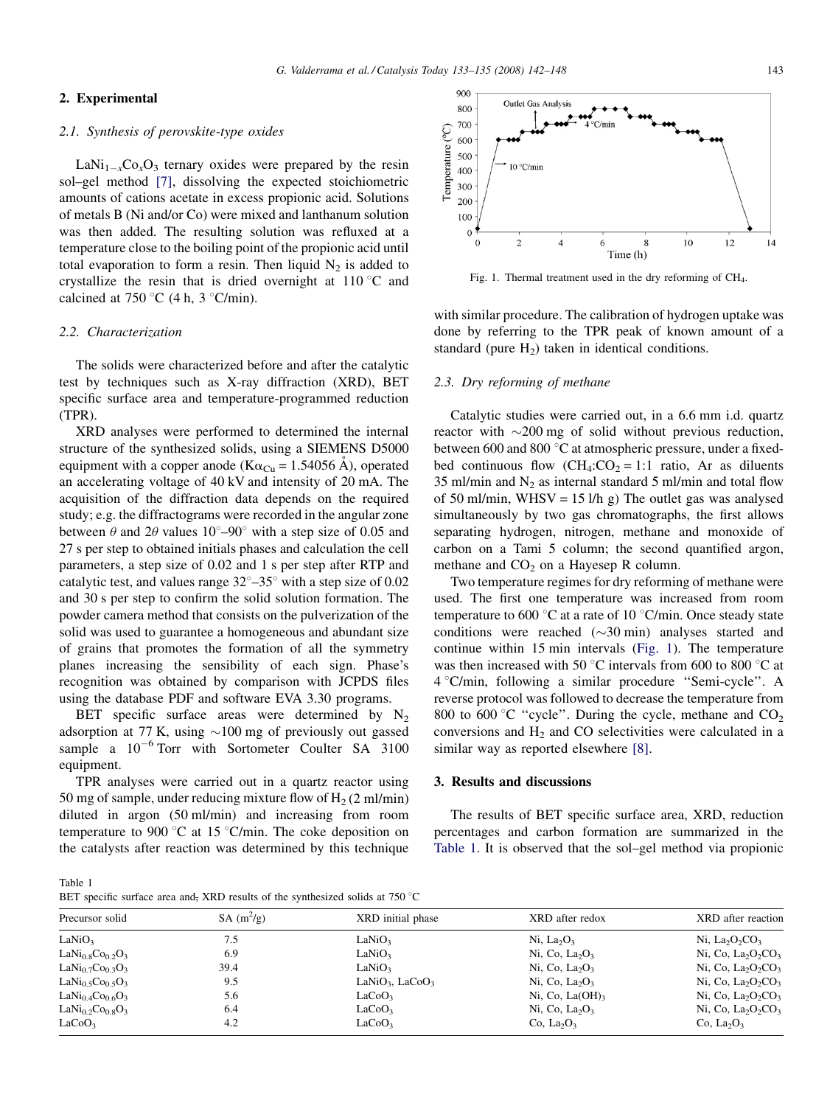#### <span id="page-1-0"></span>2. Experimental

# 2.1. Synthesis of perovskite-type oxides

 $\text{LaNi}_{1-x}\text{Co}_x\text{O}_3$  ternary oxides were prepared by the resin sol–gel method [\[7\],](#page-6-0) dissolving the expected stoichiometric amounts of cations acetate in excess propionic acid. Solutions of metals B (Ni and/or Co) were mixed and lanthanum solution was then added. The resulting solution was refluxed at a temperature close to the boiling point of the propionic acid until total evaporation to form a resin. Then liquid  $N_2$  is added to crystallize the resin that is dried overnight at  $110\degree C$  and calcined at 750 °C (4 h, 3 °C/min).

#### 2.2. Characterization

The solids were characterized before and after the catalytic test by techniques such as X-ray diffraction (XRD), BET specific surface area and temperature-programmed reduction (TPR).

XRD analyses were performed to determined the internal structure of the synthesized solids, using a SIEMENS D5000 equipment with a copper anode ( $K\alpha_{Cu} = 1.54056$  Å), operated an accelerating voltage of 40 kV and intensity of 20 mA. The acquisition of the diffraction data depends on the required study; e.g. the diffractograms were recorded in the angular zone between  $\theta$  and  $2\theta$  values  $10^{\circ}$ –90° with a step size of 0.05 and 27 s per step to obtained initials phases and calculation the cell parameters, a step size of 0.02 and 1 s per step after RTP and catalytic test, and values range  $32^{\circ}-35^{\circ}$  with a step size of 0.02 and 30 s per step to confirm the solid solution formation. The powder camera method that consists on the pulverization of the solid was used to guarantee a homogeneous and abundant size of grains that promotes the formation of all the symmetry planes increasing the sensibility of each sign. Phase's recognition was obtained by comparison with JCPDS files using the database PDF and software EVA 3.30 programs.

BET specific surface areas were determined by  $N_2$ adsorption at 77 K, using  $\sim$ 100 mg of previously out gassed sample a  $10^{-6}$  Torr with Sortometer Coulter SA 3100 equipment.

TPR analyses were carried out in a quartz reactor using 50 mg of sample, under reducing mixture flow of  $H_2$  (2 ml/min) diluted in argon (50 ml/min) and increasing from room temperature to 900 °C at 15 °C/min. The coke deposition on the catalysts after reaction was determined by this technique



Fig. 1. Thermal treatment used in the dry reforming of CH<sub>4</sub>.

with similar procedure. The calibration of hydrogen uptake was done by referring to the TPR peak of known amount of a standard (pure  $H_2$ ) taken in identical conditions.

#### 2.3. Dry reforming of methane

Catalytic studies were carried out, in a 6.6 mm i.d. quartz reactor with  $\sim$ 200 mg of solid without previous reduction, between 600 and 800  $^{\circ}$ C at atmospheric pressure, under a fixedbed continuous flow  $(CH_4:CO_2 = 1:1$  ratio, Ar as diluents 35 ml/min and  $N_2$  as internal standard 5 ml/min and total flow of 50 ml/min, WHSV = 15 l/h g) The outlet gas was analysed simultaneously by two gas chromatographs, the first allows separating hydrogen, nitrogen, methane and monoxide of carbon on a Tami 5 column; the second quantified argon, methane and  $CO<sub>2</sub>$  on a Hayesep R column.

Two temperature regimes for dry reforming of methane were used. The first one temperature was increased from room temperature to 600  $\degree$ C at a rate of 10  $\degree$ C/min. Once steady state conditions were reached  $(\sim 30 \text{ min})$  analyses started and continue within 15 min intervals (Fig. 1). The temperature was then increased with 50  $\degree$ C intervals from 600 to 800  $\degree$ C at 4 8C/min, following a similar procedure ''Semi-cycle''. A reverse protocol was followed to decrease the temperature from 800 to 600 °C "cycle". During the cycle, methane and  $CO<sub>2</sub>$ conversions and  $H_2$  and CO selectivities were calculated in a similar way as reported elsewhere [\[8\].](#page-6-0)

## 3. Results and discussions

The results of BET specific surface area, XRD, reduction percentages and carbon formation are summarized in the Table 1. It is observed that the sol–gel method via propionic

Table 1

BET specific surface area and, XRD results of the synthesized solids at  $750^{\circ}$ C

| Precursor solid                                      | $SA(m^2/g)$ | XRD initial phase                       | XRD after redox                        | XRD after reaction                                     |  |
|------------------------------------------------------|-------------|-----------------------------------------|----------------------------------------|--------------------------------------------------------|--|
| LaNiO <sub>3</sub>                                   | 7.5         | LaNiO <sub>3</sub>                      | Ni, $La_2O_3$                          | Ni, La <sub>2</sub> O <sub>2</sub> CO <sub>3</sub>     |  |
| $LaNi0.8Co0.2O3$                                     | 6.9         | LaNiO <sub>3</sub>                      | Ni, Co, La <sub>2</sub> O <sub>3</sub> | Ni, Co, $La_2O_2CO_3$                                  |  |
| LaNi <sub>0.7</sub> Co <sub>0.3</sub> O <sub>3</sub> | 39.4        | LaNiO <sub>3</sub>                      | Ni, Co, La <sub>2</sub> O <sub>3</sub> | Ni, Co, La <sub>2</sub> O <sub>2</sub> CO <sub>3</sub> |  |
| LaNi <sub>0.5</sub> Co <sub>0.5</sub> O <sub>3</sub> | 9.5         | LaNiO <sub>3</sub> , LaCoO <sub>3</sub> | Ni, Co, La <sub>2</sub> O <sub>3</sub> | Ni, Co, La <sub>2</sub> O <sub>2</sub> CO <sub>3</sub> |  |
| La $\rm{Ni_{0.4}Co_{0.6}O_{3}}$                      | 5.6         | LaCoO <sub>3</sub>                      | Ni, Co, La $(OH)_3$                    | Ni, Co, La <sub>2</sub> O <sub>2</sub> CO <sub>3</sub> |  |
| LaNi <sub>0.2</sub> Co <sub>0.8</sub> O <sub>3</sub> | 6.4         | LaCoO <sub>3</sub>                      | Ni, Co, La <sub>2</sub> O <sub>3</sub> | Ni, Co, $La_2O_2CO_3$                                  |  |
| LaCoO <sub>3</sub>                                   | 4.2         | LaCoO <sub>3</sub>                      | Co, $La2O3$                            | Co, $La_2O_3$                                          |  |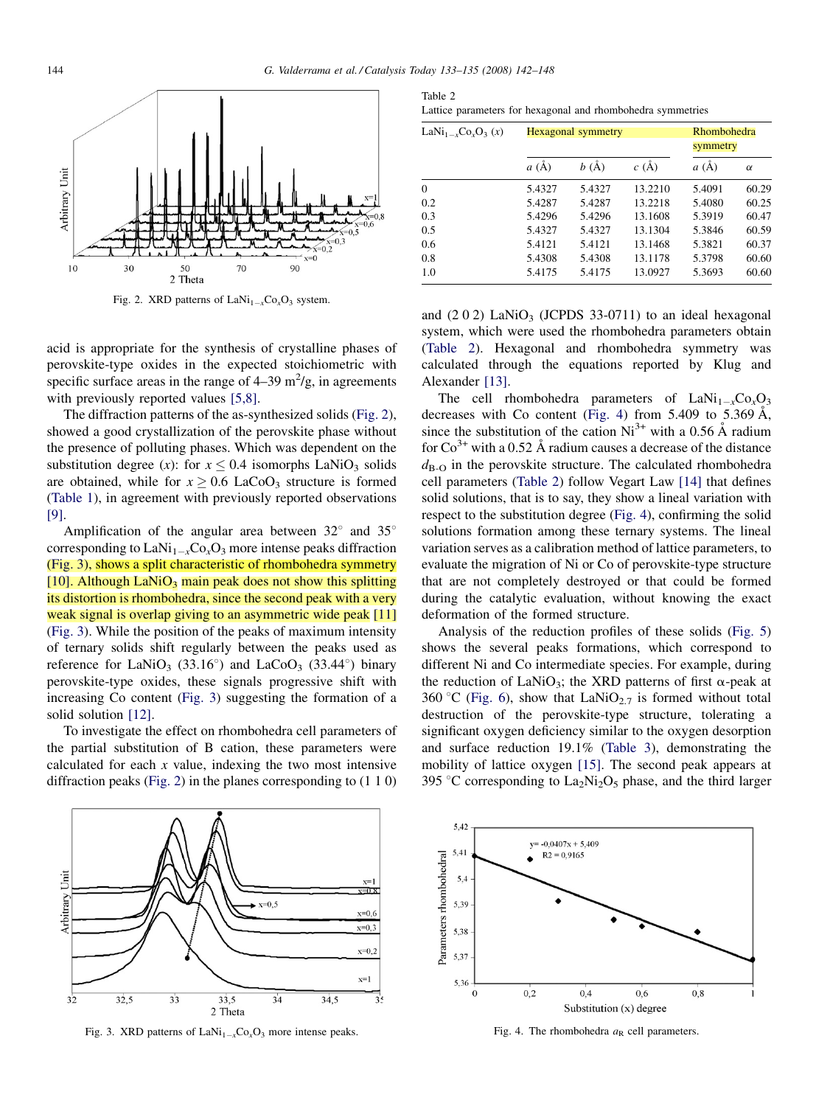

Fig. 2. XRD patterns of  $\text{LANi}_{1-x}\text{Co}_x\text{O}_3$  system.

acid is appropriate for the synthesis of crystalline phases of perovskite-type oxides in the expected stoichiometric with specific surface areas in the range of  $4-39 \text{ m}^2/\text{g}$ , in agreements with previously reported values [\[5,8\].](#page-6-0)

The diffraction patterns of the as-synthesized solids (Fig. 2), showed a good crystallization of the perovskite phase without the presence of polluting phases. Which was dependent on the substitution degree (x): for  $x \le 0.4$  isomorphs LaNiO<sub>3</sub> solids are obtained, while for  $x \geq 0.6$  LaCoO<sub>3</sub> structure is formed ([Table 1](#page-1-0)), in agreement with previously reported observations [\[9\]](#page-6-0).

Amplification of the angular area between  $32^{\circ}$  and  $35^{\circ}$ corresponding to  $\text{LaNi}_{1-x}\text{Co}_x\text{O}_3$  more intense peaks diffraction (Fig. 3), shows a split characteristic of rhombohedra symmetry [\[10\]](#page-6-0). Although LaNiO<sub>3</sub> main peak does not show this splitting its distortion is rhombohedra, since the second peak with a very weak signal is overlap giving to an asymmetric wide peak [\[11\]](#page-6-0) (Fig. 3). While the position of the peaks of maximum intensity of ternary solids shift regularly between the peaks used as reference for LaNiO<sub>3</sub> (33.16°) and LaCoO<sub>3</sub> (33.44°) binary perovskite-type oxides, these signals progressive shift with increasing Co content (Fig. 3) suggesting the formation of a solid solution [\[12\].](#page-6-0)

To investigate the effect on rhombohedra cell parameters of the partial substitution of B cation, these parameters were calculated for each  $x$  value, indexing the two most intensive diffraction peaks (Fig. 2) in the planes corresponding to (1 1 0)

Table 2 Lattice parameters for hexagonal and rhombohedra symmetries

| LaNi <sub>1-x</sub> Co <sub>x</sub> O <sub>3</sub> (x) | Hexagonal symmetry | Rhombohedra<br>symmetry |                |        |          |
|--------------------------------------------------------|--------------------|-------------------------|----------------|--------|----------|
|                                                        | a(A)               | b(A)                    | $c(\tilde{A})$ | a(A)   | $\alpha$ |
| $\Omega$                                               | 5.4327             | 5.4327                  | 13.2210        | 5.4091 | 60.29    |
| 0.2                                                    | 5.4287             | 5.4287                  | 13.2218        | 5.4080 | 60.25    |
| 0.3                                                    | 5.4296             | 5.4296                  | 13.1608        | 5.3919 | 60.47    |
| 0.5                                                    | 5.4327             | 5.4327                  | 13.1304        | 5.3846 | 60.59    |
| 0.6                                                    | 5.4121             | 5.4121                  | 13.1468        | 5.3821 | 60.37    |
| 0.8                                                    | 5.4308             | 5.4308                  | 13.1178        | 5.3798 | 60.60    |
| 1.0                                                    | 5.4175             | 5.4175                  | 13.0927        | 5.3693 | 60.60    |

and  $(2 0 2)$  LaNiO<sub>3</sub> (JCPDS 33-0711) to an ideal hexagonal system, which were used the rhombohedra parameters obtain (Table 2). Hexagonal and rhombohedra symmetry was calculated through the equations reported by Klug and Alexander [\[13\]](#page-6-0).

The cell rhombohedra parameters of  $\text{LAN}_{1-x}\text{Co}_x\text{O}_3$ decreases with Co content (Fig. 4) from  $5.409$  to  $5.369$  Å, since the substitution of the cation  $Ni^{3+}$  with a 0.56 Å radium for  $\text{Co}^{3+}$  with a 0.52 Å radium causes a decrease of the distance  $d_{\text{B}-\text{O}}$  in the perovskite structure. The calculated rhombohedra cell parameters (Table 2) follow Vegart Law [\[14\]](#page-6-0) that defines solid solutions, that is to say, they show a lineal variation with respect to the substitution degree (Fig. 4), confirming the solid solutions formation among these ternary systems. The lineal variation serves as a calibration method of lattice parameters, to evaluate the migration of Ni or Co of perovskite-type structure that are not completely destroyed or that could be formed during the catalytic evaluation, without knowing the exact deformation of the formed structure.

Analysis of the reduction profiles of these solids ([Fig. 5](#page-3-0)) shows the several peaks formations, which correspond to different Ni and Co intermediate species. For example, during the reduction of LaNiO<sub>3</sub>; the XRD patterns of first  $\alpha$ -peak at 360 °C ([Fig. 6\)](#page-3-0), show that LaNiO<sub>2.7</sub> is formed without total destruction of the perovskite-type structure, tolerating a significant oxygen deficiency similar to the oxygen desorption and surface reduction 19.1% ([Table 3](#page-3-0)), demonstrating the mobility of lattice oxygen [\[15\]](#page-6-0). The second peak appears at 395 °C corresponding to  $La_2Ni_2O_5$  phase, and the third larger



Fig. 3. XRD patterns of  $\text{LaNi}_{1-x}\text{Co}_x\text{O}_3$  more intense peaks.



Fig. 4. The rhombohedra  $a<sub>R</sub>$  cell parameters.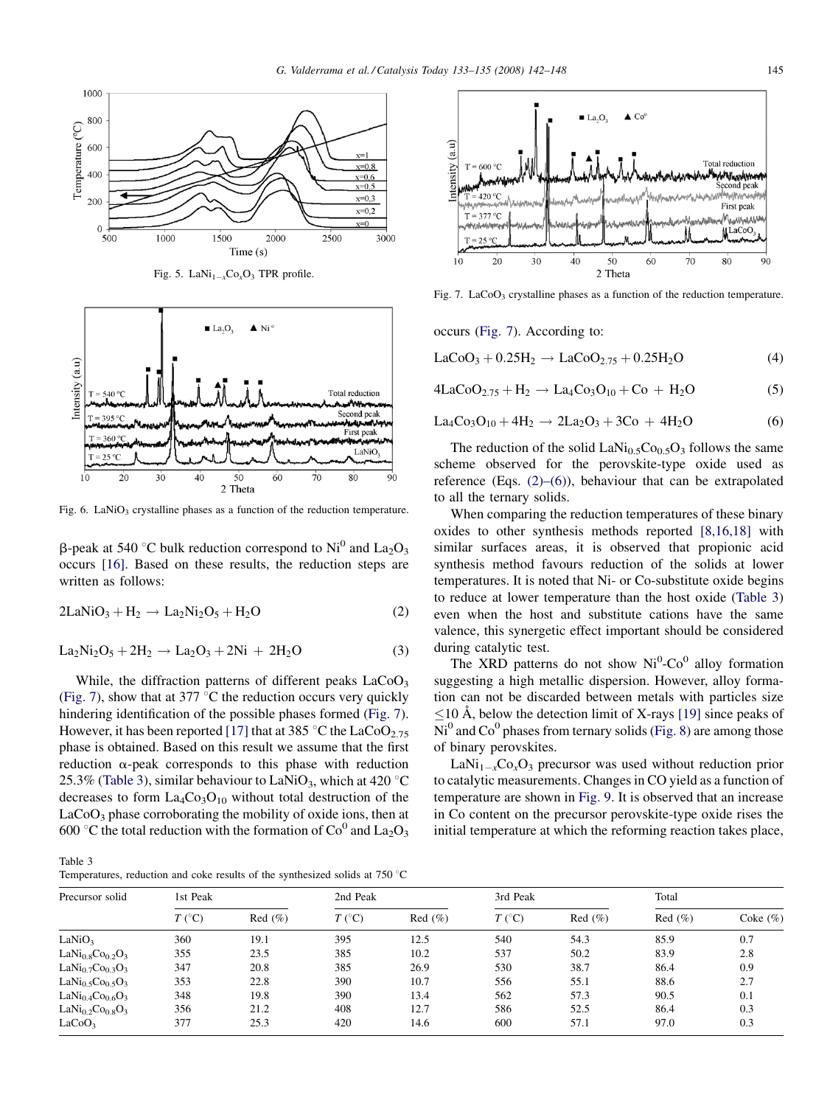<span id="page-3-0"></span>





Fig. 6. LaNiO<sub>3</sub> crystalline phases as a function of the reduction temperature.

 $\beta$ -peak at 540 °C bulk reduction correspond to Ni<sup>0</sup> and La<sub>2</sub>O<sub>3</sub> occurs [\[16\].](#page-6-0) Based on these results, the reduction steps are written as follows:

$$
2LaNiO3 + H2 \rightarrow La2Ni2O5 + H2O
$$
 (2)

$$
La_2Ni_2O_5 + 2H_2 \to La_2O_3 + 2Ni + 2H_2O
$$
 (3)

While, the diffraction patterns of different peaks  $LaCoO<sub>3</sub>$ (Fig. 7), show that at 377  $\mathrm{C}$  the reduction occurs very quickly hindering identification of the possible phases formed (Fig. 7). However, it has been reported [\[17\]](#page-6-0) that at 385 °C the LaCoO<sub>2.75</sub> phase is obtained. Based on this result we assume that the first reduction  $\alpha$ -peak corresponds to this phase with reduction 25.3% (Table 3), similar behaviour to LaNiO<sub>3</sub>, which at 420  $\degree$ C decreases to form  $La_4Co_3O_{10}$  without total destruction of the  $LaCoO<sub>3</sub>$  phase corroborating the mobility of oxide ions, then at 600 °C the total reduction with the formation of  $Co^0$  and  $La_2O_3$ 

Table 3 Temperatures, reduction and coke results of the synthesized solids at  $750^{\circ}$ C



Fig. 7. LaCoO<sub>3</sub> crystalline phases as a function of the reduction temperature.

occurs (Fig. 7). According to:

$$
LaCoO3 + 0.25H2 \rightarrow LaCoO2.75 + 0.25H2O
$$
 (4)

$$
4LaCoO_{2.75} + H_2 \rightarrow La_4Co_3O_{10} + Co + H_2O
$$
 (5)

$$
La_4Co_3O_{10} + 4H_2 \rightarrow 2La_2O_3 + 3Co + 4H_2O
$$
 (6)

The reduction of the solid  $\text{LaNi}_{0.5}\text{Co}_{0.5}\text{O}_3$  follows the same scheme observed for the perovskite-type oxide used as reference (Eqs.  $(2)$ – $(6)$ ), behaviour that can be extrapolated to all the ternary solids.

When comparing the reduction temperatures of these binary oxides to other synthesis methods reported [\[8,16,18\]](#page-6-0) with similar surfaces areas, it is observed that propionic acid synthesis method favours reduction of the solids at lower temperatures. It is noted that Ni- or Co-substitute oxide begins to reduce at lower temperature than the host oxide (Table 3) even when the host and substitute cations have the same valence, this synergetic effect important should be considered during catalytic test.

The XRD patterns do not show  $Ni<sup>0</sup>-Co<sup>0</sup>$  alloy formation suggesting a high metallic dispersion. However, alloy formation can not be discarded between metals with particles size  $\leq$ 10 Å, below the detection limit of X-rays [\[19\]](#page-6-0) since peaks of  $Ni<sup>0</sup>$  and Co<sup>0</sup> phases from ternary solids ([Fig. 8\)](#page-4-0) are among those of binary perovskites.

 $\text{LaNi}_{1-x}\text{Co}_x\text{O}_3$  precursor was used without reduction prior to catalytic measurements. Changes in CO yield as a function of temperature are shown in [Fig. 9.](#page-4-0) It is observed that an increase in Co content on the precursor perovskite-type oxide rises the initial temperature at which the reforming reaction takes place,

| Precursor solid                                      | 1st Peak         |        | 2nd Peak         |           | 3rd Peak         |        | Total  |              |
|------------------------------------------------------|------------------|--------|------------------|-----------|------------------|--------|--------|--------------|
|                                                      | $T({}^{\circ}C)$ | Red(%) | $T({}^{\circ}C)$ | $Red(\%)$ | $T({}^{\circ}C)$ | Red(%) | Red(%) | Coke $(\% )$ |
| LaNiO <sub>3</sub>                                   | 360              | 19.1   | 395              | 12.5      | 540              | 54.3   | 85.9   | 0.7          |
| $LaNi0.8Co0.2O3$                                     | 355              | 23.5   | 385              | 10.2      | 537              | 50.2   | 83.9   | 2.8          |
| LaNi <sub>0.7</sub> Co <sub>0.3</sub> O <sub>3</sub> | 347              | 20.8   | 385              | 26.9      | 530              | 38.7   | 86.4   | 0.9          |
| LaNi <sub>0.5</sub> Co <sub>0.5</sub> O <sub>3</sub> | 353              | 22.8   | 390              | 10.7      | 556              | 55.1   | 88.6   | 2.7          |
| LaNi <sub>0.4</sub> Co <sub>0.6</sub> O <sub>3</sub> | 348              | 19.8   | 390              | 13.4      | 562              | 57.3   | 90.5   | 0.1          |
| LaNi <sub>0.2</sub> Co <sub>0.8</sub> O <sub>3</sub> | 356              | 21.2   | 408              | 12.7      | 586              | 52.5   | 86.4   | 0.3          |
| LaCoO <sub>3</sub>                                   | 377              | 25.3   | 420              | 14.6      | 600              | 57.1   | 97.0   | 0.3          |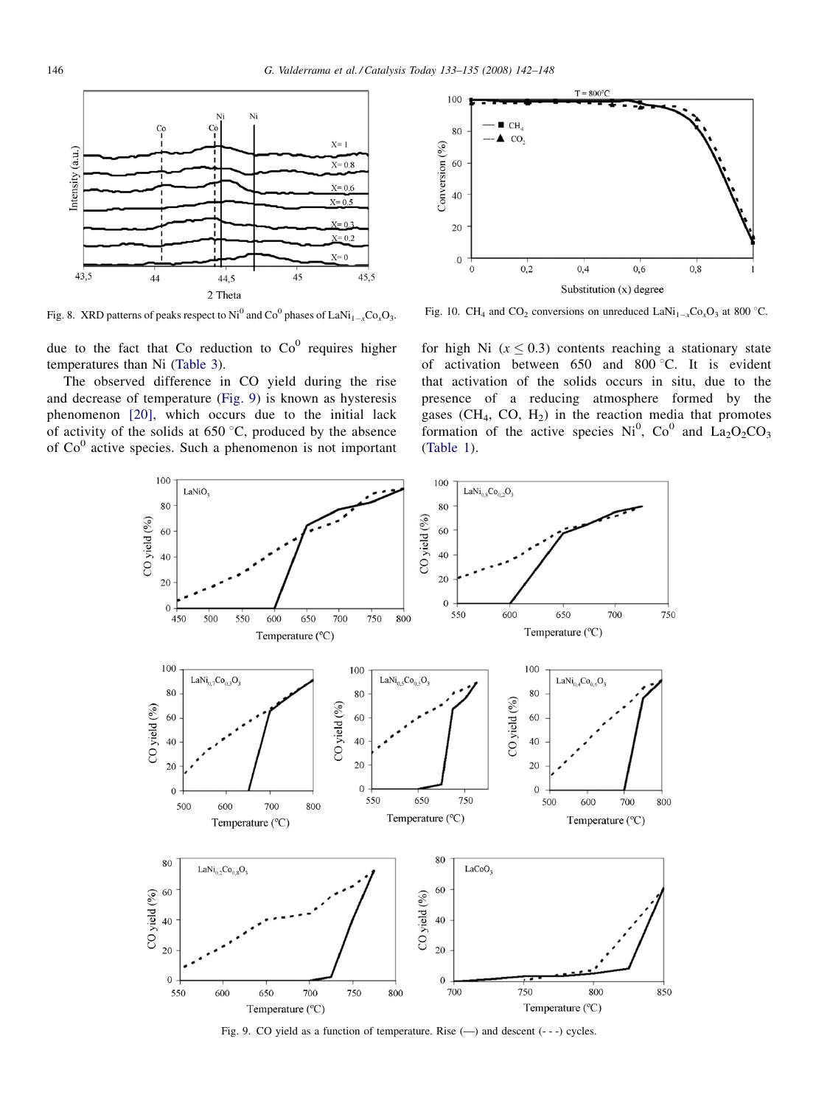<span id="page-4-0"></span>

Fig. 8. XRD patterns of peaks respect to Ni<sup>0</sup> and Co<sup>0</sup> phases of LaNi<sub>1-x</sub>Co<sub>x</sub>O<sub>3</sub>.

due to the fact that Co reduction to  $Co<sup>0</sup>$  requires higher temperatures than Ni [\(Table 3](#page-3-0)).

The observed difference in CO yield during the rise and decrease of temperature (Fig. 9) is known as hysteresis phenomenon [\[20\],](#page-6-0) which occurs due to the initial lack of activity of the solids at  $650\,^{\circ}\text{C}$ , produced by the absence of  $Co<sup>0</sup>$  active species. Such a phenomenon is not important



Fig. 10. CH<sub>4</sub> and CO<sub>2</sub> conversions on unreduced LaNi<sub>1-x</sub>Co<sub>x</sub>O<sub>3</sub> at 800 °C.

for high Ni ( $x \leq 0.3$ ) contents reaching a stationary state of activation between 650 and 800 $\degree$ C. It is evident that activation of the solids occurs in situ, due to the presence of a reducing atmosphere formed by the gases  $(CH_4, CO, H_2)$  in the reaction media that promotes formation of the active species  $Ni<sup>0</sup>$ ,  $Co<sup>0</sup>$  and  $La<sub>2</sub>O<sub>2</sub>CO<sub>3</sub>$ [\(Table 1\)](#page-1-0).



Fig. 9. CO yield as a function of temperature. Rise (—) and descent (- - -) cycles.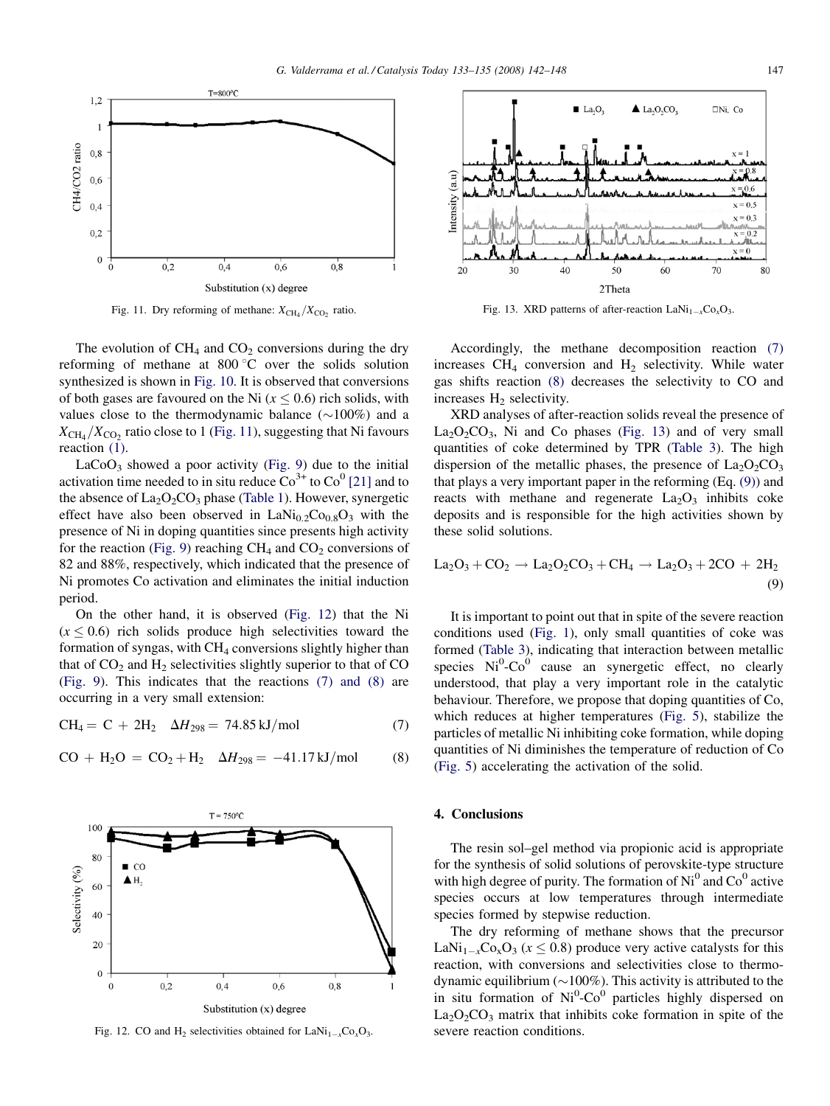

Fig. 11. Dry reforming of methane:  $X_{\text{CH}_4}/X_{\text{CO}_2}$  ratio.

The evolution of  $CH_4$  and  $CO_2$  conversions during the dry reforming of methane at 800  $\degree$ C over the solids solution synthesized is shown in [Fig. 10.](#page-4-0) It is observed that conversions of both gases are favoured on the Ni  $(x < 0.6)$  rich solids, with values close to the thermodynamic balance  $(\sim 100\%)$  and a  $X_{\text{CH}_4}/X_{\text{CO}_2}$  ratio close to 1 (Fig. 11), suggesting that Ni favours reaction [\(1\).](#page-0-0)

 $LaCoO<sub>3</sub>$  showed a poor activity ([Fig. 9](#page-4-0)) due to the initial activation time needed to in situ reduce  $\text{Co}^{3+}$  to  $\text{Co}^{0}$  [\[21\]](#page-6-0) and to the absence of  $La_2O_2CO_3$  phase ([Table 1](#page-1-0)). However, synergetic effect have also been observed in  $\text{LANi}_{0.2}\text{Co}_{0.8}\text{O}_3$  with the presence of Ni in doping quantities since presents high activity for the reaction [\(Fig. 9\)](#page-4-0) reaching  $CH_4$  and  $CO_2$  conversions of 82 and 88%, respectively, which indicated that the presence of Ni promotes Co activation and eliminates the initial induction period.

On the other hand, it is observed (Fig. 12) that the Ni  $(x \le 0.6)$  rich solids produce high selectivities toward the formation of syngas, with  $CH<sub>4</sub>$  conversions slightly higher than that of  $CO<sub>2</sub>$  and  $H<sub>2</sub>$  selectivities slightly superior to that of CO ([Fig. 9](#page-4-0)). This indicates that the reactions (7) and (8) are occurring in a very small extension:

 $CH_4 = C + 2H_2$   $\Delta H_{298} = 74.85 \text{ kJ/mol}$  (7)





Fig. 12. CO and H<sub>2</sub> selectivities obtained for  $\text{LANi}_{1-x}\text{Co}_x\text{O}_3$ .



Fig. 13. XRD patterns of after-reaction  $\text{LaNi}_{1-x}\text{Co}_x\text{O}_3$ .

Accordingly, the methane decomposition reaction (7) increases  $CH_4$  conversion and  $H_2$  selectivity. While water gas shifts reaction (8) decreases the selectivity to CO and increases  $H_2$  selectivity.

XRD analyses of after-reaction solids reveal the presence of  $La_2O_2CO_3$ , Ni and Co phases (Fig. 13) and of very small quantities of coke determined by TPR [\(Table 3](#page-3-0)). The high dispersion of the metallic phases, the presence of  $La_2O_2CO_3$ that plays a very important paper in the reforming (Eq. (9)) and reacts with methane and regenerate  $La_2O_3$  inhibits coke deposits and is responsible for the high activities shown by these solid solutions.

$$
La_2O_3 + CO_2 \rightarrow La_2O_2CO_3 + CH_4 \rightarrow La_2O_3 + 2CO + 2H_2
$$
\n(9)

It is important to point out that in spite of the severe reaction conditions used ([Fig. 1\)](#page-1-0), only small quantities of coke was formed ([Table 3](#page-3-0)), indicating that interaction between metallic species  $Ni^{0}$ - $Co^{0}$  cause an synergetic effect, no clearly understood, that play a very important role in the catalytic behaviour. Therefore, we propose that doping quantities of Co, which reduces at higher temperatures ([Fig. 5](#page-3-0)), stabilize the particles of metallic Ni inhibiting coke formation, while doping quantities of Ni diminishes the temperature of reduction of Co ([Fig. 5\)](#page-3-0) accelerating the activation of the solid.

# 4. Conclusions

The resin sol–gel method via propionic acid is appropriate for the synthesis of solid solutions of perovskite-type structure with high degree of purity. The formation of  $Ni<sup>0</sup>$  and  $Co<sup>0</sup>$  active species occurs at low temperatures through intermediate species formed by stepwise reduction.

The dry reforming of methane shows that the precursor LaNi<sub>1-x</sub>Co<sub>x</sub>O<sub>3</sub> ( $x \le 0.8$ ) produce very active catalysts for this reaction, with conversions and selectivities close to thermodynamic equilibrium ( $\sim$ 100%). This activity is attributed to the in situ formation of  $Ni^{0}$ -Co<sup>0</sup> particles highly dispersed on  $La_2O_2CO_3$  matrix that inhibits coke formation in spite of the severe reaction conditions.